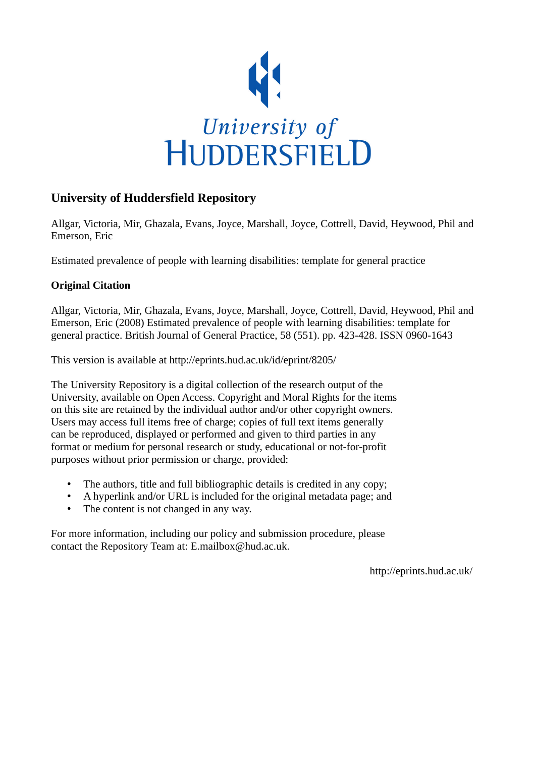

# **University of Huddersfield Repository**

Allgar, Victoria, Mir, Ghazala, Evans, Joyce, Marshall, Joyce, Cottrell, David, Heywood, Phil and Emerson, Eric

Estimated prevalence of people with learning disabilities: template for general practice

# **Original Citation**

Allgar, Victoria, Mir, Ghazala, Evans, Joyce, Marshall, Joyce, Cottrell, David, Heywood, Phil and Emerson, Eric (2008) Estimated prevalence of people with learning disabilities: template for general practice. British Journal of General Practice, 58 (551). pp. 423-428. ISSN 0960-1643

This version is available at http://eprints.hud.ac.uk/id/eprint/8205/

The University Repository is a digital collection of the research output of the University, available on Open Access. Copyright and Moral Rights for the items on this site are retained by the individual author and/or other copyright owners. Users may access full items free of charge; copies of full text items generally can be reproduced, displayed or performed and given to third parties in any format or medium for personal research or study, educational or not-for-profit purposes without prior permission or charge, provided:

- The authors, title and full bibliographic details is credited in any copy;
- A hyperlink and/or URL is included for the original metadata page; and
- The content is not changed in any way.

For more information, including our policy and submission procedure, please contact the Repository Team at: E.mailbox@hud.ac.uk.

http://eprints.hud.ac.uk/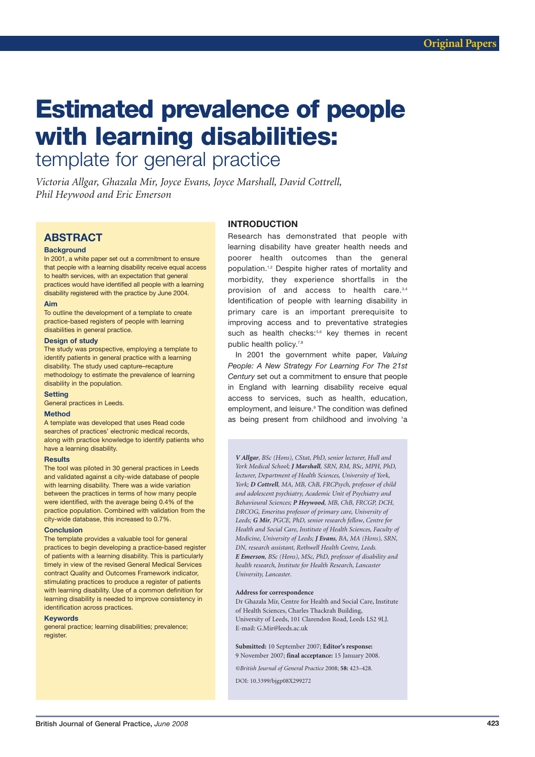# **Estimated prevalence of people with learning disabilities:**

template for general practice

*Victoria Allgar, Ghazala Mir, Joyce Evans, Joyce Marshall, David Cottrell, Phil Heywood and Eric Emerson*

### **ABSTRACT**

#### **Background**

In 2001, a white paper set out a commitment to ensure that people with a learning disability receive equal access to health services, with an expectation that general practices would have identified all people with a learning disability registered with the practice by June 2004.

#### **Aim**

To outline the development of a template to create practice-based registers of people with learning disabilities in general practice.

#### **Design of study**

The study was prospective, employing a template to identify patients in general practice with a learning disability. The study used capture–recapture methodology to estimate the prevalence of learning disability in the population.

#### **Setting**

General practices in Leeds.

#### **Method**

A template was developed that uses Read code searches of practices' electronic medical records, along with practice knowledge to identify patients who have a learning disability.

#### **Results**

The tool was piloted in 30 general practices in Leeds and validated against a city-wide database of people with learning disability. There was a wide variation between the practices in terms of how many people were identified, with the average being 0.4% of the practice population. Combined with validation from the city-wide database, this increased to 0.7%.

#### **Conclusion**

The template provides a valuable tool for general practices to begin developing a practice-based register of patients with a learning disability. This is particularly timely in view of the revised General Medical Services contract Quality and Outcomes Framework indicator, stimulating practices to produce a register of patients with learning disability. Use of a common definition for learning disability is needed to improve consistency in identification across practices.

#### **Keywords**

general practice; learning disabilities; prevalence; register.

#### **INTRODUCTION**

Research has demonstrated that people with learning disability have greater health needs and poorer health outcomes than the general population. 1,2 Despite higher rates of mortality and morbidity, they experience shortfalls in the provision of and access to health care.<sup>3,4</sup> Identification of people with learning disability in primary care is an important prerequisite to improving access and to preventative strategies such as health checks:<sup>5,6</sup> key themes in recent public health policy.<sup>7,8</sup>

In 2001 the government white paper, *Valuing People: A New Strategy For Learning For The 21st Century* set out a commitment to ensure that people in England with learning disability receive equal access to services, such as health, education, employment, and leisure. <sup>9</sup> The condition was defined as being present from childhood and involving 'a

*V Allgar, BSc (Hons), CStat, PhD, senior lecturer, Hull and York Medical School; J Marshall, SRN, RM, BSc, MPH, PhD, lecturer, Department of Health Sciences, University of York, York; D Cottrell, MA, MB, ChB, FRCPsych, professor of child and adolescent psychiatry, Academic Unit of Psychiatry and Behavioural Sciences; P Heywood, MB, ChB, FRCGP, DCH, DRCOG, Emeritus professor of primary care, University of Leeds; G Mir, PGCE, PhD, senior research fellow*, *Centre for Health and Social Care, Institute of Health Sciences, Faculty of Medicine, University of Leeds; J Evans, BA, MA (Hons), SRN, DN, research assistant, Rothwell Health Centre, Leeds. E Emerson, BSc (Hons), MSc, PhD, professor of disability and health research, Institute for Health Research, Lancaster University, Lancaster.*

#### **Address for correspondence**

Dr Ghazala Mir, Centre for Health and Social Care, Institute of Health Sciences, Charles Thackrah Building, University of Leeds, 101 Clarendon Road, Leeds LS2 9LJ. E-mail: G.Mir@leeds.ac.uk

**Submitted:** 10 September 2007; **Editor's response:**

9 November 2007; **final acceptance:** 15 January 2008.

*©British Journal of General Practice* 2008; **58:** 423–428*.*

DOI: 10.3399/bjgp08X299272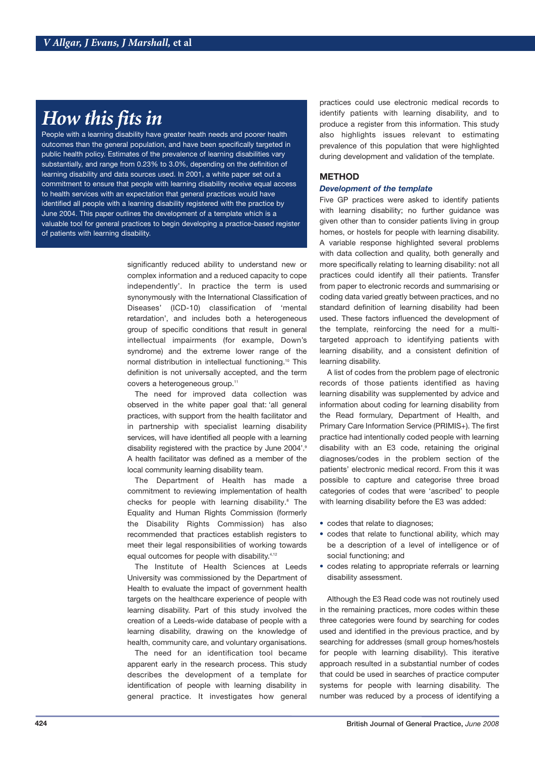# *How this fits in*

People with a learning disability have greater heath needs and poorer health outcomes than the general population, and have been specifically targeted in public health policy. Estimates of the prevalence of learning disabilities vary substantially, and range from 0.23% to 3.0%, depending on the definition of learning disability and data sources used. In 2001, a white paper set out a commitment to ensure that people with learning disability receive equal access to health services with an expectation that general practices would have identified all people with a learning disability registered with the practice by June 2004. This paper outlines the development of a template which is a valuable tool for general practices to begin developing a practice-based register of patients with learning disability.

> significantly reduced ability to understand new or complex information and a reduced capacity to cope independently'. In practice the term is used synonymously with the International Classification of Diseases' (ICD-10) classification of 'mental retardation', and includes both a heterogeneous group of specific conditions that result in general intellectual impairments (for example, Down's syndrome) and the extreme lower range of the normal distribution in intellectual functioning. <sup>10</sup> This definition is not universally accepted, and the term covers a heterogeneous group. 11

> The need for improved data collection was observed in the white paper goal that: 'all general practices, with support from the health facilitator and in partnership with specialist learning disability services, will have identified all people with a learning disability registered with the practice by June 2004'.<sup>9</sup> A health facilitator was defined as a member of the local community learning disability team.

> The Department of Health has made a commitment to reviewing implementation of health checks for people with learning disability. <sup>8</sup> The Equality and Human Rights Commission (formerly the Disability Rights Commission) has also recommended that practices establish registers to meet their legal responsibilities of working towards equal outcomes for people with disability.<sup>4,12</sup>

> The Institute of Health Sciences at Leeds University was commissioned by the Department of Health to evaluate the impact of government health targets on the healthcare experience of people with learning disability. Part of this study involved the creation of a Leeds-wide database of people with a learning disability, drawing on the knowledge of health, community care, and voluntary organisations.

> The need for an identification tool became apparent early in the research process. This study describes the development of a template for identification of people with learning disability in general practice. It investigates how general

practices could use electronic medical records to identify patients with learning disability, and to produce a register from this information. This study also highlights issues relevant to estimating prevalence of this population that were highlighted during development and validation of the template.

#### **METHOD**

#### *Development of the template*

Five GP practices were asked to identify patients with learning disability; no further guidance was given other than to consider patients living in group homes, or hostels for people with learning disability. A variable response highlighted several problems with data collection and quality, both generally and more specifically relating to learning disability: not all practices could identify all their patients. Transfer from paper to electronic records and summarising or coding data varied greatly between practices, and no standard definition of learning disability had been used. These factors influenced the development of the template, reinforcing the need for a multitargeted approach to identifying patients with learning disability, and a consistent definition of learning disability.

A list of codes from the problem page of electronic records of those patients identified as having learning disability was supplemented by advice and information about coding for learning disability from the Read formulary, Department of Health, and Primary Care Information Service (PRIMIS+). The first practice had intentionally coded people with learning disability with an E3 code, retaining the original diagnoses/codes in the problem section of the patients' electronic medical record. From this it was possible to capture and categorise three broad categories of codes that were 'ascribed' to people with learning disability before the E3 was added:

- codes that relate to diagnoses;
- codes that relate to functional ability, which may be a description of a level of intelligence or of social functioning; and
- codes relating to appropriate referrals or learning disability assessment.

Although the E3 Read code was not routinely used in the remaining practices, more codes within these three categories were found by searching for codes used and identified in the previous practice, and by searching for addresses (small group homes/hostels for people with learning disability). This iterative approach resulted in a substantial number of codes that could be used in searches of practice computer systems for people with learning disability. The number was reduced by a process of identifying a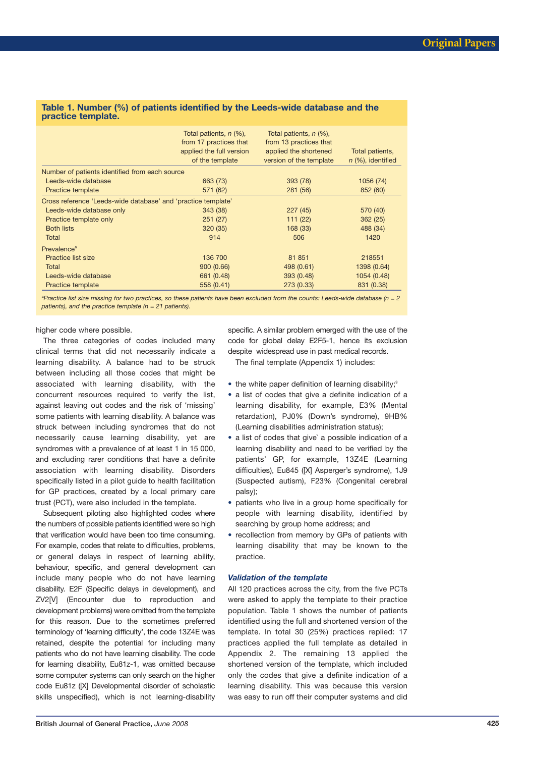#### **Table 1. Number (%) of patients identified by the Leeds-wide database and the practice template.**

|                                                               | Total patients, n (%),<br>from 17 practices that<br>applied the full version<br>of the template | Total patients, n (%),<br>from 13 practices that<br>applied the shortened<br>version of the template | Total patients,<br>$n$ (%), identified |  |  |  |  |  |  |
|---------------------------------------------------------------|-------------------------------------------------------------------------------------------------|------------------------------------------------------------------------------------------------------|----------------------------------------|--|--|--|--|--|--|
| Number of patients identified from each source                |                                                                                                 |                                                                                                      |                                        |  |  |  |  |  |  |
| Leeds-wide database                                           | 663 (73)                                                                                        | 393 (78)                                                                                             | 1056 (74)                              |  |  |  |  |  |  |
| <b>Practice template</b>                                      | 571 (62)                                                                                        | 281 (56)                                                                                             | 852 (60)                               |  |  |  |  |  |  |
| Cross reference 'Leeds-wide database' and 'practice template' |                                                                                                 |                                                                                                      |                                        |  |  |  |  |  |  |
| Leeds-wide database only                                      | 343 (38)                                                                                        | 227(45)                                                                                              | 570 (40)                               |  |  |  |  |  |  |
| Practice template only                                        | 251(27)                                                                                         | 111(22)                                                                                              | 362(25)                                |  |  |  |  |  |  |
| <b>Both lists</b>                                             | 320(35)                                                                                         | 168 (33)                                                                                             | 488 (34)                               |  |  |  |  |  |  |
| Total                                                         | 914                                                                                             | 506                                                                                                  | 1420                                   |  |  |  |  |  |  |
| Prevalence <sup>a</sup>                                       |                                                                                                 |                                                                                                      |                                        |  |  |  |  |  |  |
| Practice list size                                            | 136 700                                                                                         | 81 851                                                                                               | 218551                                 |  |  |  |  |  |  |
| Total                                                         | 900(0.66)                                                                                       | 498 (0.61)                                                                                           | 1398 (0.64)                            |  |  |  |  |  |  |
| Leeds-wide database                                           | 661 (0.48)                                                                                      | 393 (0.48)                                                                                           | 1054 (0.48)                            |  |  |  |  |  |  |
| <b>Practice template</b>                                      | 558 (0.41)                                                                                      | 273 (0.33)                                                                                           | 831 (0.38)                             |  |  |  |  |  |  |
|                                                               |                                                                                                 |                                                                                                      |                                        |  |  |  |  |  |  |

<sup>a</sup>Practice list size missing for two practices, so these patients have been excluded from the counts: Leeds-wide database (n = 2 *patients), and the practice template (n = 21 patients).*

#### higher code where possible.

The three categories of codes included many clinical terms that did not necessarily indicate a learning disability. A balance had to be struck between including all those codes that might be associated with learning disability, with the concurrent resources required to verify the list, against leaving out codes and the risk of 'missing' some patients with learning disability. A balance was struck between including syndromes that do not necessarily cause learning disability, yet are syndromes with a prevalence of at least 1 in 15 000, and excluding rarer conditions that have a definite association with learning disability. Disorders specifically listed in a pilot guide to health facilitation for GP practices, created by a local primary care trust (PCT), were also included in the template.

Subsequent piloting also highlighted codes where the numbers of possible patients identified were so high that verification would have been too time consuming. For example, codes that relate to difficulties, problems, or general delays in respect of learning ability, behaviour, specific, and general development can include many people who do not have learning disability. E2F (Specific delays in development), and ZV2[V] (Encounter due to reproduction and development problems) were omitted from the template for this reason. Due to the sometimes preferred terminology of 'learning difficulty', the code 13Z4E was retained, despite the potential for including many patients who do not have learning disability. The code for learning disability, Eu81z-1, was omitted because some computer systems can only search on the higher code Eu81z ([X] Developmental disorder of scholastic skills unspecified), which is not learning-disability

specific. A similar problem emerged with the use of the code for global delay E2F5-1, hence its exclusion despite widespread use in past medical records.

The final template (Appendix 1) includes:

- the white paper definition of learning disability;<sup>9</sup>
- a list of codes that give a definite indication of a learning disability, for example, E3% (Mental retardation), PJ0% (Down's syndrome), 9HB% (Learning disabilities administration status);
- a list of codes that give` a possible indication of a learning disability and need to be verified by the patients' GP, for example, 13Z4E (Learning difficulties), Eu845 ([X] Asperger's syndrome), 1J9 (Suspected autism), F23% (Congenital cerebral palsy);
- patients who live in a group home specifically for people with learning disability, identified by searching by group home address; and
- recollection from memory by GPs of patients with learning disability that may be known to the practice.

#### *Validation of the template*

All 120 practices across the city, from the five PCTs were asked to apply the template to their practice population. Table 1 shows the number of patients identified using the full and shortened version of the template. In total 30 (25%) practices replied: 17 practices applied the full template as detailed in Appendix 2. The remaining 13 applied the shortened version of the template, which included only the codes that give a definite indication of a learning disability. This was because this version was easy to run off their computer systems and did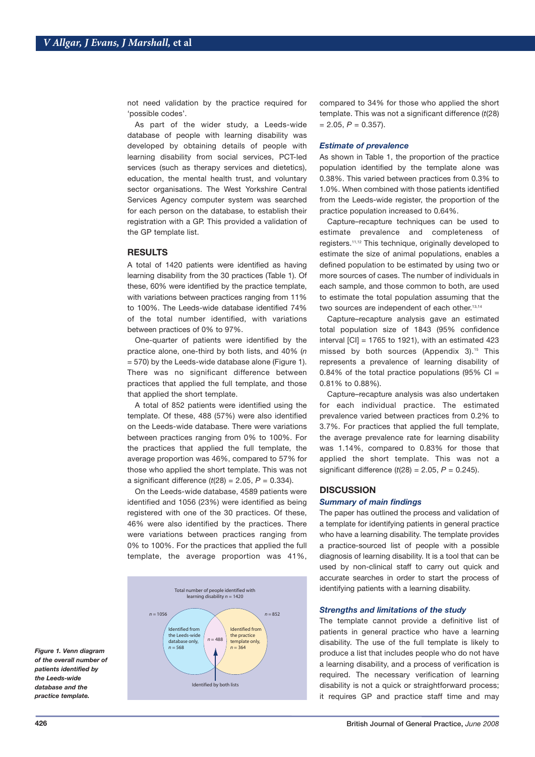not need validation by the practice required for 'possible codes'.

As part of the wider study, a Leeds-wide database of people with learning disability was developed by obtaining details of people with learning disability from social services, PCT-led services (such as therapy services and dietetics), education, the mental health trust, and voluntary sector organisations. The West Yorkshire Central Services Agency computer system was searched for each person on the database, to establish their registration with a GP. This provided a validation of the GP template list.

#### **RESULTS**

A total of 1420 patients were identified as having learning disability from the 30 practices (Table 1). Of these, 60% were identified by the practice template, with variations between practices ranging from 11% to 100%. The Leeds-wide database identified 74% of the total number identified, with variations between practices of 0% to 97%.

One-quarter of patients were identified by the practice alone, one-third by both lists, and 40% (*n* = 570) by the Leeds-wide database alone (Figure 1). There was no significant difference between practices that applied the full template, and those that applied the short template.

A total of 852 patients were identified using the template. Of these, 488 (57%) were also identified on the Leeds-wide database. There were variations between practices ranging from 0% to 100%. For the practices that applied the full template, the average proportion was 46%, compared to 57% for those who applied the short template. This was not a significant difference  $(t(28) = 2.05, P = 0.334)$ .

On the Leeds-wide database, 4589 patients were identified and 1056 (23%) were identified as being registered with one of the 30 practices. Of these, 46% were also identified by the practices. There were variations between practices ranging from 0% to 100%. For the practices that applied the full template, the average proportion was 41%,



compared to 34% for those who applied the short template. This was not a significant difference (*t*(28)  $= 2.05, P = 0.357$ .

#### *Estimate of prevalence*

As shown in Table 1, the proportion of the practice population identified by the template alone was 0.38%. This varied between practices from 0.3% to 1.0%. When combined with those patients identified from the Leeds-wide register, the proportion of the practice population increased to 0.64%.

Capture–recapture techniques can be used to estimate prevalence and completeness of registers.<sup>11,12</sup> This technique, originally developed to estimate the size of animal populations, enables a defined population to be estimated by using two or more sources of cases. The number of individuals in each sample, and those common to both, are used to estimate the total population assuming that the two sources are independent of each other.<sup>13,14</sup>

Capture–recapture analysis gave an estimated total population size of 1843 (95% confidence interval  $|C| = 1765$  to 1921), with an estimated 423 missed by both sources (Appendix 3). <sup>15</sup> This represents a prevalence of learning disability of 0.84% of the total practice populations (95% CI = 0.81% to 0.88%).

Capture–recapture analysis was also undertaken for each individual practice. The estimated prevalence varied between practices from 0.2% to 3.7%. For practices that applied the full template, the average prevalence rate for learning disability was 1.14%, compared to 0.83% for those that applied the short template. This was not a significant difference  $(t(28) = 2.05, P = 0.245)$ .

#### **DISCUSSION**

#### *Summary of main findings*

The paper has outlined the process and validation of a template for identifying patients in general practice who have a learning disability. The template provides a practice-sourced list of people with a possible diagnosis of learning disability. It is a tool that can be used by non-clinical staff to carry out quick and accurate searches in order to start the process of identifying patients with a learning disability.

#### *Strengths and limitations of the study*

The template cannot provide a definitive list of patients in general practice who have a learning disability. The use of the full template is likely to produce a list that includes people who do not have a learning disability, and a process of verification is required. The necessary verification of learning disability is not a quick or straightforward process; it requires GP and practice staff time and may

*Figure 1. Venn diagram of the overall number of patients identified by the Leeds-wide database and the practice template.*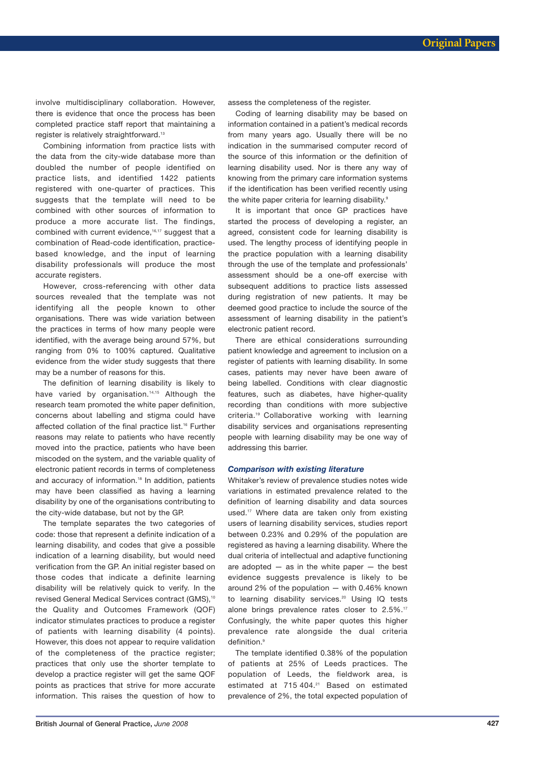involve multidisciplinary collaboration. However, there is evidence that once the process has been completed practice staff report that maintaining a register is relatively straightforward.<sup>13</sup>

Combining information from practice lists with the data from the city-wide database more than doubled the number of people identified on practice lists, and identified 1422 patients registered with one-quarter of practices. This suggests that the template will need to be combined with other sources of information to produce a more accurate list. The findings, combined with current evidence, 16,17 suggest that a combination of Read-code identification, practicebased knowledge, and the input of learning disability professionals will produce the most accurate registers.

However, cross-referencing with other data sources revealed that the template was not identifying all the people known to other organisations. There was wide variation between the practices in terms of how many people were identified, with the average being around 57%, but ranging from 0% to 100% captured. Qualitative evidence from the wider study suggests that there may be a number of reasons for this.

The definition of learning disability is likely to have varied by organisation. 14,15 Although the research team promoted the white paper definition, concerns about labelling and stigma could have affected collation of the final practice list. <sup>16</sup> Further reasons may relate to patients who have recently moved into the practice, patients who have been miscoded on the system, and the variable quality of electronic patient records in terms of completeness and accuracy of information. <sup>18</sup> In addition, patients may have been classified as having a learning disability by one of the organisations contributing to the city-wide database, but not by the GP.

The template separates the two categories of code: those that represent a definite indication of a learning disability, and codes that give a possible indication of a learning disability, but would need verification from the GP. An initial register based on those codes that indicate a definite learning disability will be relatively quick to verify. In the revised General Medical Services contract (GMS),<sup>10</sup> the Quality and Outcomes Framework (QOF) indicator stimulates practices to produce a register of patients with learning disability (4 points). However, this does not appear to require validation of the completeness of the practice register; practices that only use the shorter template to develop a practice register will get the same QOF points as practices that strive for more accurate information. This raises the question of how to assess the completeness of the register.

Coding of learning disability may be based on information contained in a patient's medical records from many years ago. Usually there will be no indication in the summarised computer record of the source of this information or the definition of learning disability used. Nor is there any way of knowing from the primary care information systems if the identification has been verified recently using the white paper criteria for learning disability.<sup>9</sup>

It is important that once GP practices have started the process of developing a register, an agreed, consistent code for learning disability is used. The lengthy process of identifying people in the practice population with a learning disability through the use of the template and professionals' assessment should be a one-off exercise with subsequent additions to practice lists assessed during registration of new patients. It may be deemed good practice to include the source of the assessment of learning disability in the patient's electronic patient record.

There are ethical considerations surrounding patient knowledge and agreement to inclusion on a register of patients with learning disability. In some cases, patients may never have been aware of being labelled. Conditions with clear diagnostic features, such as diabetes, have higher-quality recording than conditions with more subjective criteria. <sup>19</sup> Collaborative working with learning disability services and organisations representing people with learning disability may be one way of addressing this barrier.

#### *Comparison with existing literature*

Whitaker's review of prevalence studies notes wide variations in estimated prevalence related to the definition of learning disability and data sources used. <sup>17</sup> Where data are taken only from existing users of learning disability services, studies report between 0.23% and 0.29% of the population are registered as having a learning disability. Where the dual criteria of intellectual and adaptive functioning are adopted  $-$  as in the white paper  $-$  the best evidence suggests prevalence is likely to be around 2% of the population — with 0.46% known to learning disability services. <sup>20</sup> Using IQ tests alone brings prevalence rates closer to 2.5%. 17 Confusingly, the white paper quotes this higher prevalence rate alongside the dual criteria definition. 9

The template identified 0.38% of the population of patients at 25% of Leeds practices. The population of Leeds, the fieldwork area, is estimated at 715 404. <sup>21</sup> Based on estimated prevalence of 2%, the total expected population of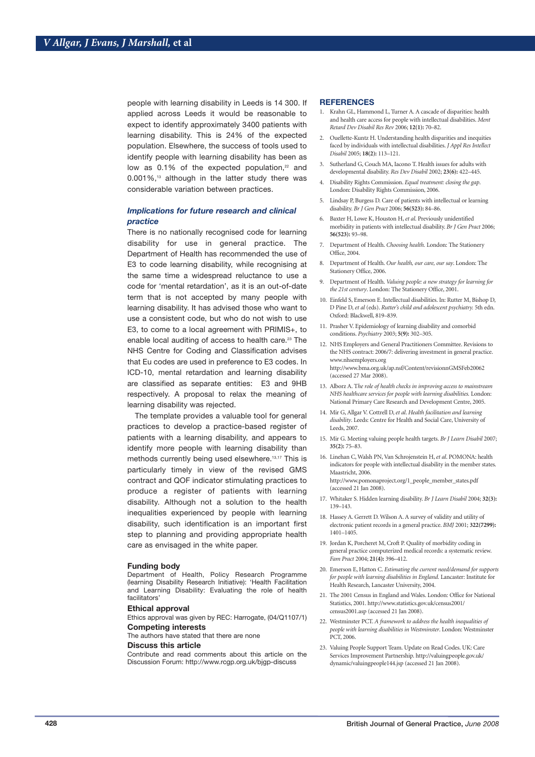people with learning disability in Leeds is 14 300. If applied across Leeds it would be reasonable to expect to identify approximately 3400 patients with learning disability. This is 24% of the expected population. Elsewhere, the success of tools used to identify people with learning disability has been as low as 0.1% of the expected population,<sup>22</sup> and 0.001%, <sup>13</sup> although in the latter study there was considerable variation between practices.

#### *Implications for future research and clinical practice*

There is no nationally recognised code for learning disability for use in general practice. The Department of Health has recommended the use of E3 to code learning disability, while recognising at the same time a widespread reluctance to use a code for 'mental retardation', as it is an out-of-date term that is not accepted by many people with learning disability. It has advised those who want to use a consistent code, but who do not wish to use E3, to come to a local agreement with PRIMIS+, to enable local auditing of access to health care. <sup>23</sup> The NHS Centre for Coding and Classification advises that Eu codes are used in preference to E3 codes. In ICD-10, mental retardation and learning disability are classified as separate entities: E3 and 9HB respectively. A proposal to relax the meaning of learning disability was rejected.

The template provides a valuable tool for general practices to develop a practice-based register of patients with a learning disability, and appears to identify more people with learning disability than methods currently being used elsewhere. 13,17 This is particularly timely in view of the revised GMS contract and QOF indicator stimulating practices to produce a register of patients with learning disability. Although not a solution to the health inequalities experienced by people with learning disability, such identification is an important first step to planning and providing appropriate health care as envisaged in the white paper.

#### **Funding body**

Department of Health, Policy Research Programme (learning Disability Research Initiative): 'Health Facilitation and Learning Disability: Evaluating the role of health facilitators'

#### **Ethical approval**

Ethics approval was given by REC: Harrogate, (04/Q1107/1) **Competing interests**

The authors have stated that there are none

#### **Discuss this article**

Contribute and read comments about this article on the Discussion Forum: http://www.rcgp.org.uk/bjgp-discuss

#### **REFERENCES**

- 1. Krahn GL, Hammond L, Turner A. A cascade of disparities: health and health care access for people with intellectual disabilities. *Ment Retard Dev Disabil Res Rev* 2006; **12(1):** 70–82.
- 2. Ouellette-Kuntz H. Understanding health disparities and inequities faced by individuals with intellectual disabilities. *J Appl Res Intellect Disabil* 2005; **18(2):** 113–121.
- 3. Sutherland G, Couch MA, Iacono T. Health issues for adults with developmental disability. *Res Dev Disabil* 2002; **23(6):** 422–445.
- 4. Disability Rights Commission. *Equal treatment: closing the gap*. London: Disability Rights Commission, 2006.
- 5. Lindsay P, Burgess D. Care of patients with intellectual or learning disability. *Br J Gen Pract* 2006; **56(523):** 84–86.
- 6. Baxter H, Lowe K, Houston H,*et al*. Previously unidentified morbidity in patients with intellectual disability. *Br J Gen Pract* 2006; **56(523):** 93–98.
- 7. Department of Health. *Choosing health.* London: The Stationery Office, 2004.
- 8. Department of Health. *Our health, our care, our say*. London: The Stationery Office, 2006.
- 9. Department of Health. *Valuing people: a new strategy for learning for the 21st century*. London: The Stationery Office, 2001.
- 10. Einfeld S, Emerson E. Intellectual disabilities. In: Rutter M, Bishop D, D Pine D, *et al* (eds). *Rutter's child and adolescent psychiatry.* 5th edn. Oxford: Blackwell, 819–839.
- 11. Prasher V. Epidemiology of learning disability and comorbid conditions. *Psychiatry* 2003; **5(9):** 302–305.
- 12. NHS Employers and General Practitioners Committee. Revisions to the NHS contract: 2006/7: delivering investment in general practice. www.nhsemployers.org http://www.bma.org.uk/ap.nsf/Content/revisionnGMSFeb20062 (accessed 27 Mar 2008).
- 13. Alborz A. T*he role of health checks in improving access to mainstream NHS healthcare services for people with learning disabilities.* London: National Primary Care Research and Development Centre, 2005.
- 14. Mir G, Allgar V. Cottrell D,*et al*. *Health facilitation and learning disability*. Leeds: Centre for Health and Social Care, University of Leeds, 2007.
- 15. Mir G. Meeting valuing people health targets. *Br J Learn Disabil* 2007; **35(2):** 75–83.
- 16. Linehan C, Walsh PN, Van Schrojenstein H, et al. POMONA: health indicators for people with intellectual disability in the member states. Maastricht, 2006. http://www.pomonaproject.org/1\_people\_member\_states.pdf (accessed 21 Jan 2008).
- 17. Whitaker S. Hidden learning disability. *Br J Learn Disabil* 2004; **32(3):** 139–143.
- 18. Hassey A. Gerrett D. Wilson A. A survey of validity and utility of electronic patient records in a general practice. *BMJ* 2001; **322(7299):** 1401–1405.
- 19. Jordan K, Porcheret M, Croft P. Quality of morbidity coding in general practice computerized medical records: a systematic review. *Fam Pract* 2004; **21(4):** 396–412.
- 20. Emerson E, Hatton C. *Estimating the current need/demand for supports for people with learning disabilities in England.* Lancaster: Institute for Health Research, Lancaster University, 2004.
- 21. The 2001 Census in England and Wales. London: Office for National Statistics, 2001. http://www.statistics.gov.uk/census2001/ census2001.asp (accessed 21 Jan 2008).
- 22. Westminster PCT. *A framework to address the health inequalities of people with learning disabilities in Westminster*. London: Westminster PCT, 2006.
- 23. Valuing People Support Team. Update on Read Codes. UK: Care Services Improvement Partnership. http://valuingpeople.gov.uk/ dynamic/valuingpeople144.jsp (accessed 21 Jan 2008).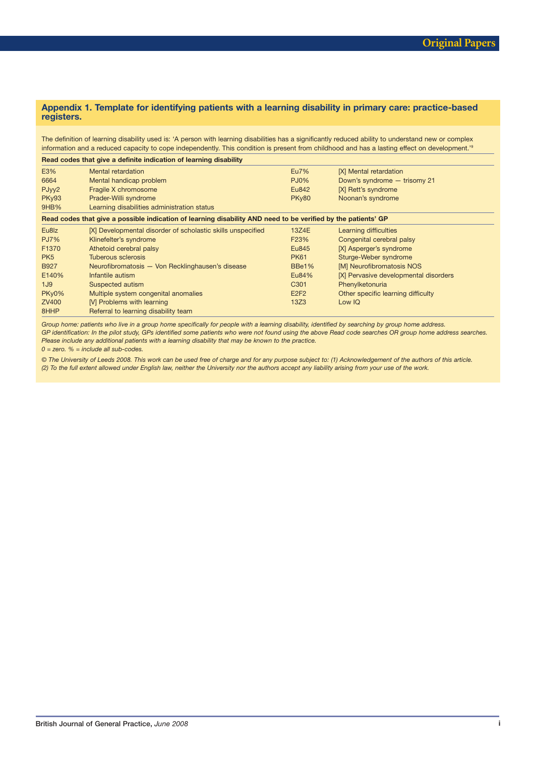#### **Appendix 1. Template for identifying patients with a learning disability in primary care: practice-based registers.**

The definition of learning disability used is: 'A person with learning disabilities has a significantly reduced ability to understand new or complex information and a reduced capacity to cope independently. This condition is present from childhood and has a lasting effect on development.<sup>15</sup>

|                   | Read codes that give a definite indication of learning disability                                             |                  |                                       |  |  |
|-------------------|---------------------------------------------------------------------------------------------------------------|------------------|---------------------------------------|--|--|
| E3%               | Mental retardation                                                                                            | Eu7%             | [X] Mental retardation                |  |  |
| 6664              | Mental handicap problem                                                                                       | <b>PJ0%</b>      | Down's syndrome - trisomy 21          |  |  |
| PJyy2             | Fragile X chromosome                                                                                          | Eu842            | [X] Rett's syndrome                   |  |  |
| <b>PKy93</b>      | Prader-Willi syndrome                                                                                         | <b>PKy80</b>     | Noonan's syndrome                     |  |  |
| 9HB%              | Learning disabilities administration status                                                                   |                  |                                       |  |  |
|                   | Read codes that give a possible indication of learning disability AND need to be verified by the patients' GP |                  |                                       |  |  |
| Eu8 <sub>Iz</sub> | [X] Developmental disorder of scholastic skills unspecified                                                   | 13Z4E            | Learning difficulties                 |  |  |
| <b>PJ7%</b>       | Klinefelter's syndrome                                                                                        | F23%             | Congenital cerebral palsy             |  |  |
| F1370             | Athetoid cerebral palsy                                                                                       | Eu845            | [X] Asperger's syndrome               |  |  |
| PK <sub>5</sub>   | Tuberous sclerosis                                                                                            | <b>PK61</b>      | Sturge-Weber syndrome                 |  |  |
| <b>B927</b>       | Neurofibromatosis - Von Recklinghausen's disease                                                              | BBe1%            | [M] Neurofibromatosis NOS             |  |  |
| E140%             | Infantile autism                                                                                              | Eu84%            | [X] Pervasive developmental disorders |  |  |
| 1J9               | Suspected autism                                                                                              | C <sub>301</sub> | Phenylketonuria                       |  |  |
| PKy0%             | Multiple system congenital anomalies                                                                          | <b>E2F2</b>      | Other specific learning difficulty    |  |  |
| ZV400             | M Problems with learning                                                                                      | 13Z <sub>3</sub> | Low IQ                                |  |  |
| 8HHP              | Referral to learning disability team                                                                          |                  |                                       |  |  |

Group home: patients who live in a group home specifically for people with a learning disability, identified by searching by group home address. GP identification: In the pilot study, GPs identified some patients who were not found using the above Read code searches OR group home address searches. *Please include any additional patients with a learning disability that may be known to the practice. 0 = zero. % = include all sub-codes.*

© The University of Leeds 2008. This work can be used free of charge and for any purpose subject to: (1) Acknowledgement of the authors of this article. (2) To the full extent allowed under English law, neither the University nor the authors accept any liability arising from your use of the work.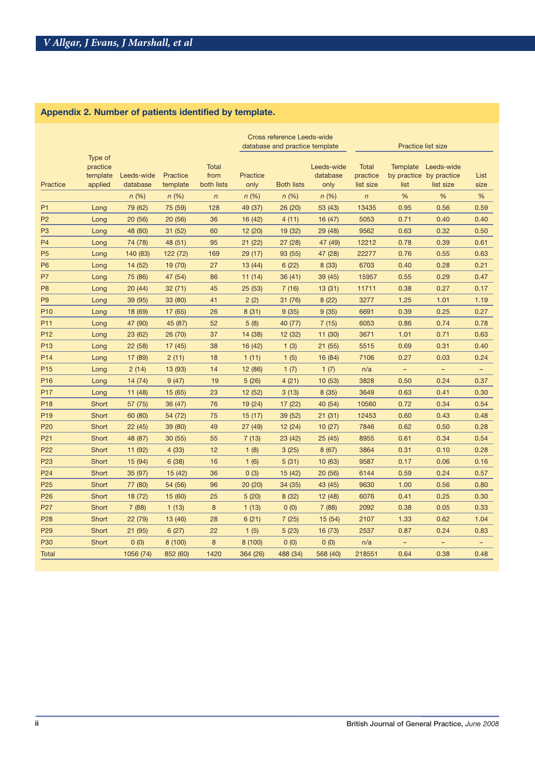# **Appendix 2. Number of patients identified by template.**

|                 |                                            |                        |                      |                                    |                  | Cross reference Leeds-wide<br>database and practice template |                                |                                       | Practice list size      |                                                    |                          |
|-----------------|--------------------------------------------|------------------------|----------------------|------------------------------------|------------------|--------------------------------------------------------------|--------------------------------|---------------------------------------|-------------------------|----------------------------------------------------|--------------------------|
| Practice        | Type of<br>practice<br>template<br>applied | Leeds-wide<br>database | Practice<br>template | <b>Total</b><br>from<br>both lists | Practice<br>only | <b>Both lists</b>                                            | Leeds-wide<br>database<br>only | <b>Total</b><br>practice<br>list size | <b>Template</b><br>list | Leeds-wide<br>by practice by practice<br>list size | List<br>size             |
|                 |                                            | n(%)                   | n(%)                 | $\sqrt{n}$                         | n(%)             | n(%)                                                         | n(%)                           | $\sqrt{n}$                            | %                       | %                                                  | %                        |
| P <sub>1</sub>  | Long                                       | 79 (62)                | 75 (59)              | 128                                | 49 (37)          | 26 (20)                                                      | 53 (43)                        | 13435                                 | 0.95                    | 0.56                                               | 0.59                     |
| P <sub>2</sub>  | Long                                       | 20 (56)                | 20 (56)              | 36                                 | 16 (42)          | 4(11)                                                        | 16(47)                         | 5053                                  | 0.71                    | 0.40                                               | 0.40                     |
| P <sub>3</sub>  | Long                                       | 48 (80)                | 31 (52)              | 60                                 | 12(20)           | 19 (32)                                                      | 29 (48)                        | 9562                                  | 0.63                    | 0.32                                               | 0.50                     |
| P <sub>4</sub>  | Long                                       | 74 (78)                | 48 (51)              | 95                                 | 21 (22)          | 27 (28)                                                      | 47 (49)                        | 12212                                 | 0.78                    | 0.39                                               | 0.61                     |
| P <sub>5</sub>  | Long                                       | 140 (83)               | 122 (72)             | 169                                | 29 (17)          | 93 (55)                                                      | 47 (28)                        | 22277                                 | 0.76                    | 0.55                                               | 0.63                     |
| P <sub>6</sub>  | Long                                       | 14 (52)                | 19 (70)              | 27                                 | 13 (44)          | 6(22)                                                        | 8 (33)                         | 6703                                  | 0.40                    | 0.28                                               | 0.21                     |
| P7              | Long                                       | 75 (86)                | 47 (54)              | 86                                 | 11(14)           | 36 (41)                                                      | 39(45)                         | 15957                                 | 0.55                    | 0.29                                               | 0.47                     |
| P <sub>8</sub>  | Long                                       | 20 (44)                | 32 (71)              | 45                                 | 25 (53)          | 7(16)                                                        | 13(31)                         | 11711                                 | 0.38                    | 0.27                                               | 0.17                     |
| P <sub>9</sub>  | Long                                       | 39 (95)                | 33 (80)              | 41                                 | 2(2)             | 31 (76)                                                      | 8(22)                          | 3277                                  | 1.25                    | 1.01                                               | 1.19                     |
| P <sub>10</sub> | Long                                       | 18 (69)                | 17 (65)              | 26                                 | 8(31)            | 9(35)                                                        | 9(35)                          | 6691                                  | 0.39                    | 0.25                                               | 0.27                     |
| P11             | Long                                       | 47 (90)                | 45 (87)              | 52                                 | 5(8)             | 40 (77)                                                      | 7(15)                          | 6053                                  | 0.86                    | 0.74                                               | 0.78                     |
| P <sub>12</sub> | Long                                       | 23 (62)                | 26 (70)              | 37                                 | 14 (38)          | 12 (32)                                                      | 11 (30)                        | 3671                                  | 1.01                    | 0.71                                               | 0.63                     |
| P <sub>13</sub> | Long                                       | 22 (58)                | 17 (45)              | 38                                 | 16 (42)          | 1(3)                                                         | 21(55)                         | 5515                                  | 0.69                    | 0.31                                               | 0.40                     |
| P <sub>14</sub> | Long                                       | 17 (89)                | 2(11)                | 18                                 | 1(11)            | 1(5)                                                         | 16 (84)                        | 7106                                  | 0.27                    | 0.03                                               | 0.24                     |
| P <sub>15</sub> | Long                                       | 2(14)                  | 13 (93)              | 14                                 | 12 (86)          | 1(7)                                                         | 1(7)                           | n/a                                   | $\qquad \qquad -$       | $\overline{\phantom{0}}$                           | $\overline{\phantom{0}}$ |
| P <sub>16</sub> | Long                                       | 14 (74)                | 9(47)                | 19                                 | 5(26)            | 4(21)                                                        | 10(53)                         | 3828                                  | 0.50                    | 0.24                                               | 0.37                     |
| P <sub>17</sub> | Long                                       | 11(48)                 | 15 (65)              | 23                                 | 12 (52)          | 3(13)                                                        | 8(35)                          | 3649                                  | 0.63                    | 0.41                                               | 0.30                     |
| P <sub>18</sub> | Short                                      | 57 (75)                | 36 (47)              | 76                                 | 19(24)           | 17 (22)                                                      | 40 (54)                        | 10560                                 | 0.72                    | 0.34                                               | 0.54                     |
| P <sub>19</sub> | Short                                      | 60 (80)                | 54 (72)              | 75                                 | 15(17)           | 39 (52)                                                      | 21(31)                         | 12453                                 | 0.60                    | 0.43                                               | 0.48                     |
| P <sub>20</sub> | Short                                      | 22 (45)                | 39 (80)              | 49                                 | 27 (49)          | 12(24)                                                       | 10(27)                         | 7846                                  | 0.62                    | 0.50                                               | 0.28                     |
| P <sub>21</sub> | Short                                      | 48 (87)                | 30(55)               | 55                                 | 7(13)            | 23 (42)                                                      | 25(45)                         | 8955                                  | 0.61                    | 0.34                                               | 0.54                     |
| P <sub>22</sub> | Short                                      | 11 (92)                | 4 (33)               | 12                                 | 1(8)             | 3(25)                                                        | 8(67)                          | 3864                                  | 0.31                    | 0.10                                               | 0.28                     |
| P <sub>23</sub> | Short                                      | 15 (94)                | 6(38)                | 16                                 | 1(6)             | 5(31)                                                        | 10(63)                         | 9587                                  | 0.17                    | 0.06                                               | 0.16                     |
| P <sub>24</sub> | Short                                      | 35 (97)                | 15(42)               | 36                                 | 0(3)             | 15 (42)                                                      | 20 (56)                        | 6144                                  | 0.59                    | 0.24                                               | 0.57                     |
| P <sub>25</sub> | Short                                      | 77 (80)                | 54 (56)              | 96                                 | 20 (20)          | 34 (35)                                                      | 43 (45)                        | 9630                                  | 1.00                    | 0.56                                               | 0.80                     |
| P <sub>26</sub> | Short                                      | 18 (72)                | 15 (60)              | 25                                 | 5(20)            | 8(32)                                                        | 12 (48)                        | 6076                                  | 0.41                    | 0.25                                               | 0.30                     |
| <b>P27</b>      | Short                                      | 7(88)                  | 1(13)                | 8                                  | 1(13)            | 0(0)                                                         | 7(88)                          | 2092                                  | 0.38                    | 0.05                                               | 0.33                     |
| <b>P28</b>      | Short                                      | 22 (79)                | 13 (46)              | 28                                 | 6(21)            | 7(25)                                                        | 15(54)                         | 2107                                  | 1.33                    | 0.62                                               | 1.04                     |
| P <sub>29</sub> | Short                                      | 21 (95)                | 6(27)                | 22                                 | 1(5)             | 5(23)                                                        | 16 (73)                        | 2537                                  | 0.87                    | 0.24                                               | 0.83                     |
| <b>P30</b>      | Short                                      | 0(0)                   | 8 (100)              | 8                                  | 8 (100)          | 0(0)                                                         | 0(0)                           | n/a                                   |                         | $\overline{\phantom{0}}$                           |                          |
| Total           |                                            | 1056 (74)              | 852 (60)             | 1420                               | 364 (26)         | 488 (34)                                                     | 568 (40)                       | 218551                                | 0.64                    | 0.38                                               | 0.48                     |